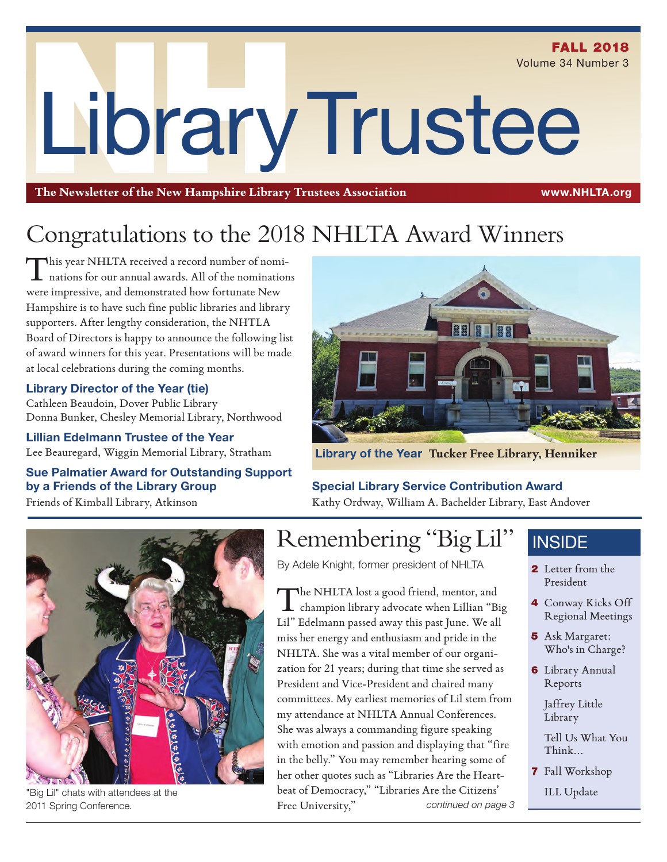**FALL 2018** Volume 34 Number 3

# LibraryTrustee

**The Newsletter of the New Hampshire Library Trustees Association** www.NHLTA.org

# Congratulations to the 2018 NHLTA Award Winners

This year NHLTA received a record number of nominations for our annual awards. All of the nominations were impressive, and demonstrated how fortunate New Hampshire is to have such fine public libraries and library supporters. After lengthy consideration, the NHTLA Board of Directors is happy to announce the following list of award winners for this year. Presentations will be made at local celebrations during the coming months.

#### Library Director of the Year (tie)

Cathleen Beaudoin, Dover Public Library Donna Bunker, Chesley Memorial Library, Northwood

Lillian Edelmann Trustee of the Year Lee Beauregard, Wiggin Memorial Library, Stratham

#### Sue Palmatier Award for Outstanding Support by a Friends of the Library Group Friends of Kimball Library, Atkinson



Library of the Year **Tucker Free Library, Henniker**

#### Special Library Service Contribution Award

Kathy Ordway, William A. Bachelder Library, East Andover



"Big Lil" chats with attendees at the 2011 Spring Conference.

## Remembering "Big Lil"

By Adele Knight, former president of NHLTA

The NHLTA lost a good friend, mentor, and champion library advocate when Lillian "Big Lil" Edelmann passed away this past June. We all miss her energy and enthusiasm and pride in the NHLTA. She was a vital member of our organization for 21 years; during that time she served as President and Vice-President and chaired many committees. My earliest memories of Lil stem from my attendance at NHLTA Annual Conferences. She was always a commanding figure speaking with emotion and passion and displaying that "fire in the belly." You may remember hearing some of her other quotes such as "Libraries Are the Heartbeat of Democracy," "Libraries Are the Citizens' Free University," *continued on page 3*

### **INSIDE**

- 2 Letter from the President
- 4 Conway Kicks Off Regional Meetings
- 5 Ask Margaret: Who's in Charge?
- 6 Library Annual Reports

Jaffrey Little Library

Tell Us What You Think...

7 Fall Workshop

ILL Update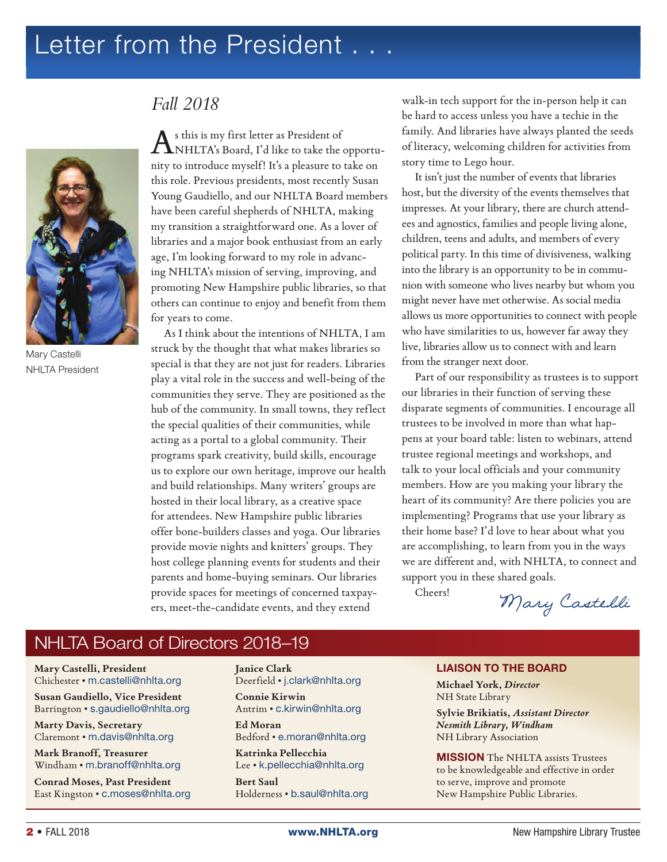## Letter from the President . . .



Mary Castelli NHLTA President

#### *Fall 2018*

As this is my first letter as President of NHLTA's Board, I'd like to take the opportunity to introduce myself! It's a pleasure to take on this role. Previous presidents, most recently Susan Young Gaudiello, and our NHLTA Board members have been careful shepherds of NHLTA, making my transition a straightforward one. As a lover of libraries and a major book enthusiast from an early age, I'm looking forward to my role in advancing NHLTA's mission of serving, improving, and promoting New Hampshire public libraries, so that others can continue to enjoy and benefit from them for years to come.

As I think about the intentions of NHLTA, I am struck by the thought that what makes libraries so special is that they are not just for readers. Libraries play a vital role in the success and well-being of the communities they serve. They are positioned as the hub of the community. In small towns, they reflect the special qualities of their communities, while acting as a portal to a global community. Their programs spark creativity, build skills, encourage us to explore our own heritage, improve our health and build relationships. Many writers' groups are hosted in their local library, as a creative space for attendees. New Hampshire public libraries offer bone-builders classes and yoga. Our libraries provide movie nights and knitters' groups. They host college planning events for students and their parents and home-buying seminars. Our libraries provide spaces for meetings of concerned taxpayers, meet-the-candidate events, and they extend

walk-in tech support for the in-person help it can be hard to access unless you have a techie in the family. And libraries have always planted the seeds of literacy, welcoming children for activities from story time to Lego hour.

It isn't just the number of events that libraries host, but the diversity of the events themselves that impresses. At your library, there are church attendees and agnostics, families and people living alone, children, teens and adults, and members of every political party. In this time of divisiveness, walking into the library is an opportunity to be in communion with someone who lives nearby but whom you might never have met otherwise. As social media allows us more opportunities to connect with people who have similarities to us, however far away they live, libraries allow us to connect with and learn from the stranger next door.

Part of our responsibility as trustees is to support our libraries in their function of serving these disparate segments of communities. I encourage all trustees to be involved in more than what happens at your board table: listen to webinars, attend trustee regional meetings and workshops, and talk to your local officials and your community members. How are you making your library the heart of its community? Are there policies you are implementing? Programs that use your library as their home base? I'd love to hear about what you are accomplishing, to learn from you in the ways we are different and, with NHLTA, to connect and support you in these shared goals.

Cheers!

Mary Castelli

#### NHLTA Board of Directors 2018–19

**Mary Castelli, President** Chichester • m.castelli@nhlta.org

**Susan Gaudiello, Vice President** Barrington • s.gaudiello@nhlta.org

**Marty Davis, Secretary** Claremont • m.davis@nhlta.org

**Mark Branoff, Treasurer** Windham • m.branoff@nhlta.org

**Conrad Moses, Past President** East Kingston • c.moses@nhlta.org **Janice Clark**  Deerfield • j.clark@nhlta.org

**Connie Kirwin** Antrim • c.kirwin@nhlta.org

**Ed Moran** Bedford • e.moran@nhlta.org

**Katrinka Pellecchia**  Lee • k.pellecchia@nhlta.org

**Bert Saul** Holderness • b.saul@nhlta.org

#### LIAISON TO THE BOARD

**Michael York,** *Director* NH State Library

**Sylvie Brikiatis,** *Assistant Director Nesmith Library, Windham* NH Library Association

MISSION The NHLTA assists Trustees to be knowledgeable and effective in order to serve, improve and promote New Hampshire Public Libraries.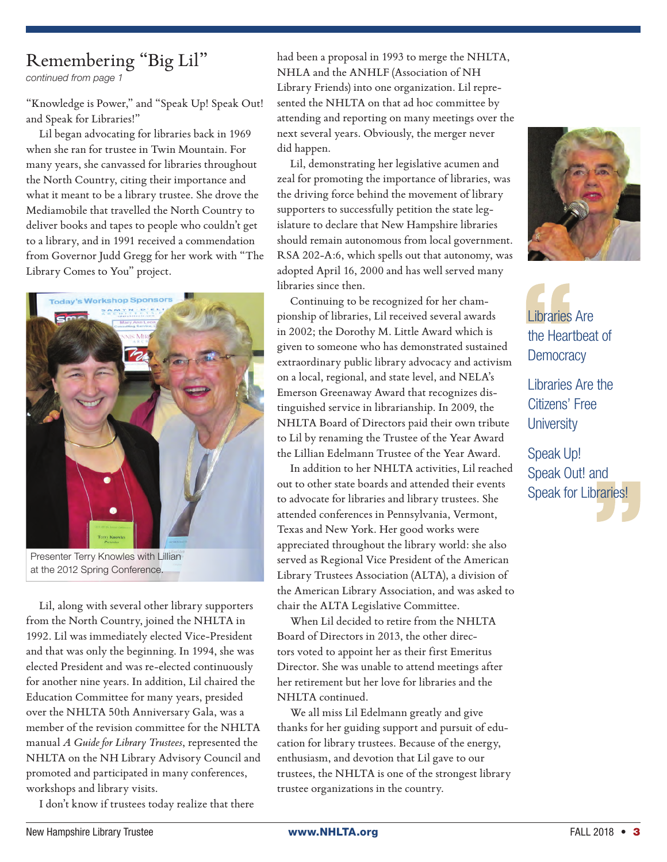## Remembering "Big Lil"

*continued from page 1*

"Knowledge is Power," and "Speak Up! Speak Out! and Speak for Libraries!"

Lil began advocating for libraries back in 1969 when she ran for trustee in Twin Mountain. For many years, she canvassed for libraries throughout the North Country, citing their importance and what it meant to be a library trustee. She drove the Mediamobile that travelled the North Country to deliver books and tapes to people who couldn't get to a library, and in 1991 received a commendation from Governor Judd Gregg for her work with "The Library Comes to You" project.



Presenter Terry Knowles with Lillian at the 2012 Spring Conference.

Lil, along with several other library supporters from the North Country, joined the NHLTA in 1992. Lil was immediately elected Vice-President and that was only the beginning. In 1994, she was elected President and was re-elected continuously for another nine years. In addition, Lil chaired the Education Committee for many years, presided over the NHLTA 50th Anniversary Gala, was a member of the revision committee for the NHLTA manual *A Guide for Library Trustees*, represented the NHLTA on the NH Library Advisory Council and promoted and participated in many conferences, workshops and library visits.

I don't know if trustees today realize that there

had been a proposal in 1993 to merge the NHLTA, NHLA and the ANHLF (Association of NH Library Friends) into one organization. Lil represented the NHLTA on that ad hoc committee by attending and reporting on many meetings over the next several years. Obviously, the merger never did happen.

Lil, demonstrating her legislative acumen and zeal for promoting the importance of libraries, was the driving force behind the movement of library supporters to successfully petition the state legislature to declare that New Hampshire libraries should remain autonomous from local government. RSA 202-A:6, which spells out that autonomy, was adopted April 16, 2000 and has well served many libraries since then.

Continuing to be recognized for her championship of libraries, Lil received several awards in 2002; the Dorothy M. Little Award which is given to someone who has demonstrated sustained extraordinary public library advocacy and activism on a local, regional, and state level, and NELA's Emerson Greenaway Award that recognizes distinguished service in librarianship. In 2009, the NHLTA Board of Directors paid their own tribute to Lil by renaming the Trustee of the Year Award the Lillian Edelmann Trustee of the Year Award.

In addition to her NHLTA activities, Lil reached out to other state boards and attended their events to advocate for libraries and library trustees. She attended conferences in Pennsylvania, Vermont, Texas and New York. Her good works were appreciated throughout the library world: she also served as Regional Vice President of the American Library Trustees Association (ALTA), a division of the American Library Association, and was asked to chair the ALTA Legislative Committee.

When Lil decided to retire from the NHLTA Board of Directors in 2013, the other directors voted to appoint her as their first Emeritus Director. She was unable to attend meetings after her retirement but her love for libraries and the NHLTA continued.

We all miss Lil Edelmann greatly and give thanks for her guiding support and pursuit of education for library trustees. Because of the energy, enthusiasm, and devotion that Lil gave to our trustees, the NHLTA is one of the strongest library trustee organizations in the country.



Libraries Are the Heartbeat of **Democracy** 

Libraries Are the Citizens' Free **University** 

Speak Up! Speak Out! and Speak for Libraries!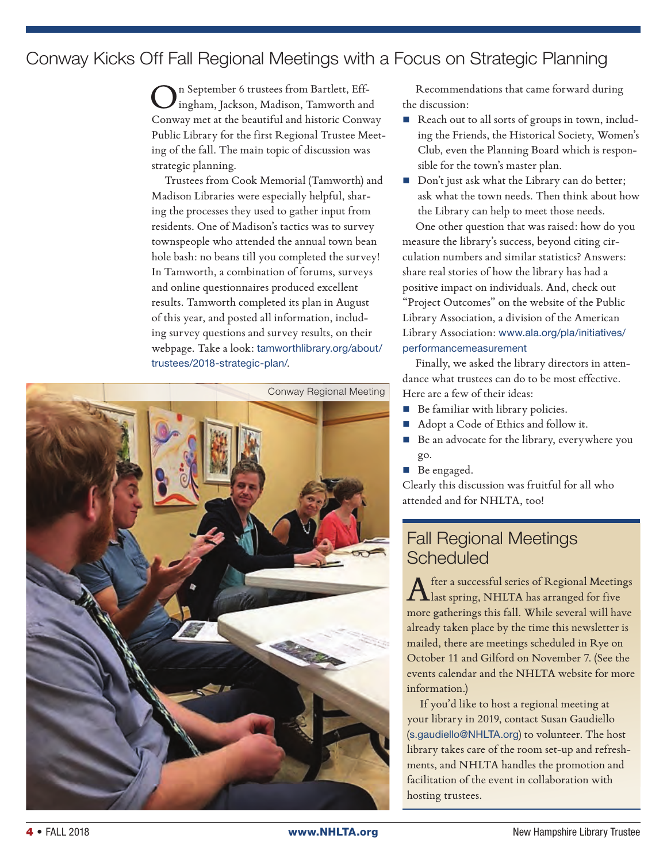#### Conway Kicks Off Fall Regional Meetings with a Focus on Strategic Planning

n September 6 trustees from Bartlett, Effingham, Jackson, Madison, Tamworth and Conway met at the beautiful and historic Conway Public Library for the first Regional Trustee Meeting of the fall. The main topic of discussion was strategic planning.

Trustees from Cook Memorial (Tamworth) and Madison Libraries were especially helpful, sharing the processes they used to gather input from residents. One of Madison's tactics was to survey townspeople who attended the annual town bean hole bash: no beans till you completed the survey! In Tamworth, a combination of forums, surveys and online questionnaires produced excellent results. Tamworth completed its plan in August of this year, and posted all information, including survey questions and survey results, on their webpage. Take a look: tamworthlibrary.org/about/ trustees/2018-strategic-plan/.



Recommendations that came forward during the discussion:

- Reach out to all sorts of groups in town, including the Friends, the Historical Society, Women's Club, even the Planning Board which is responsible for the town's master plan.
- Don't just ask what the Library can do better; ask what the town needs. Then think about how the Library can help to meet those needs.

One other question that was raised: how do you measure the library's success, beyond citing circulation numbers and similar statistics? Answers: share real stories of how the library has had a positive impact on individuals. And, check out "Project Outcomes" on the website of the Public Library Association, a division of the American Library Association: www.ala.org/pla/initiatives/ performancemeasurement

Finally, we asked the library directors in attendance what trustees can do to be most effective. Here are a few of their ideas:

- Be familiar with library policies.
- Adopt a Code of Ethics and follow it.
- Be an advocate for the library, everywhere you go.
- Be engaged.

Clearly this discussion was fruitful for all who attended and for NHLTA, too!

#### Fall Regional Meetings **Scheduled**

After a successful series of Regional Meetings<br>Alast spring, NHLTA has arranged for five more gatherings this fall. While several will have already taken place by the time this newsletter is mailed, there are meetings scheduled in Rye on October 11 and Gilford on November 7. (See the events calendar and the NHLTA website for more information.)

If you'd like to host a regional meeting at your library in 2019, contact Susan Gaudiello (s.gaudiello@NHLTA.org) to volunteer. The host library takes care of the room set-up and refreshments, and NHLTA handles the promotion and facilitation of the event in collaboration with hosting trustees.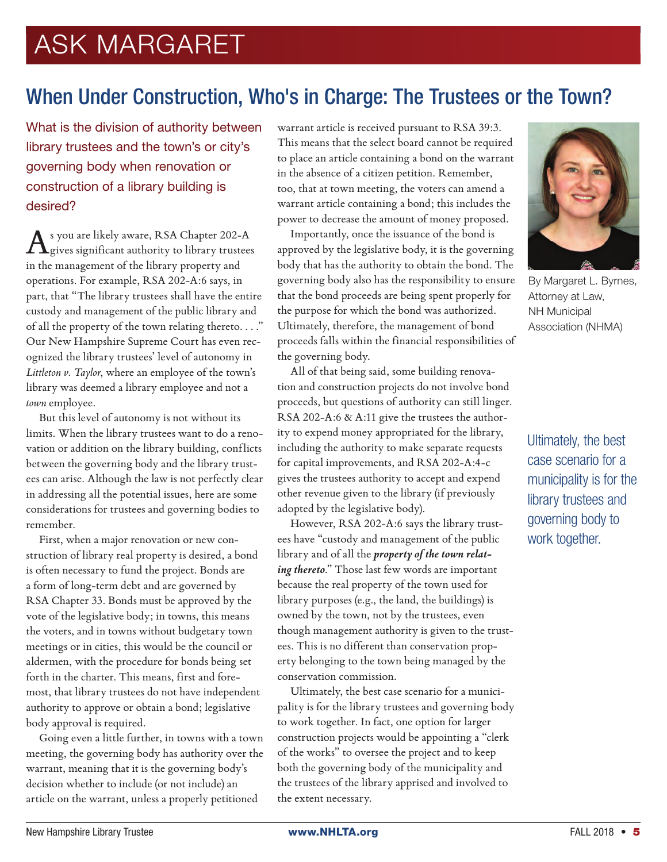# ASK MARGARET

## When Under Construction, Who's in Charge: The Trustees or the Town?

What is the division of authority between library trustees and the town's or city's governing body when renovation or construction of a library building is desired?

As you are likely aware, RSA Chapter 202-A gives significant authority to library trustees in the management of the library property and operations. For example, RSA 202-A:6 says, in part, that "The library trustees shall have the entire custody and management of the public library and of all the property of the town relating thereto. . . ." Our New Hampshire Supreme Court has even recognized the library trustees' level of autonomy in *Littleton v. Taylor*, where an employee of the town's library was deemed a library employee and not a *town* employee.

But this level of autonomy is not without its limits. When the library trustees want to do a renovation or addition on the library building, conflicts between the governing body and the library trustees can arise. Although the law is not perfectly clear in addressing all the potential issues, here are some considerations for trustees and governing bodies to remember.

First, when a major renovation or new construction of library real property is desired, a bond is often necessary to fund the project. Bonds are a form of long-term debt and are governed by RSA Chapter 33. Bonds must be approved by the vote of the legislative body; in towns, this means the voters, and in towns without budgetary town meetings or in cities, this would be the council or aldermen, with the procedure for bonds being set forth in the charter. This means, first and foremost, that library trustees do not have independent authority to approve or obtain a bond; legislative body approval is required.

Going even a little further, in towns with a town meeting, the governing body has authority over the warrant, meaning that it is the governing body's decision whether to include (or not include) an article on the warrant, unless a properly petitioned

warrant article is received pursuant to RSA 39:3. This means that the select board cannot be required to place an article containing a bond on the warrant in the absence of a citizen petition. Remember, too, that at town meeting, the voters can amend a warrant article containing a bond; this includes the power to decrease the amount of money proposed.

Importantly, once the issuance of the bond is approved by the legislative body, it is the governing body that has the authority to obtain the bond. The governing body also has the responsibility to ensure that the bond proceeds are being spent properly for the purpose for which the bond was authorized. Ultimately, therefore, the management of bond proceeds falls within the financial responsibilities of the governing body.

All of that being said, some building renovation and construction projects do not involve bond proceeds, but questions of authority can still linger. RSA 202-A:6 & A:11 give the trustees the authority to expend money appropriated for the library, including the authority to make separate requests for capital improvements, and RSA 202-A:4-c gives the trustees authority to accept and expend other revenue given to the library (if previously adopted by the legislative body).

However, RSA 202-A:6 says the library trustees have "custody and management of the public library and of all the *property of the town relating thereto*." Those last few words are important because the real property of the town used for library purposes (e.g., the land, the buildings) is owned by the town, not by the trustees, even though management authority is given to the trustees. This is no different than conservation property belonging to the town being managed by the conservation commission.

Ultimately, the best case scenario for a municipality is for the library trustees and governing body to work together. In fact, one option for larger construction projects would be appointing a "clerk of the works" to oversee the project and to keep both the governing body of the municipality and the trustees of the library apprised and involved to the extent necessary.



By Margaret L. Byrnes, Attorney at Law, NH Municipal Association (NHMA)

Ultimately, the best case scenario for a municipality is for the library trustees and governing body to work together.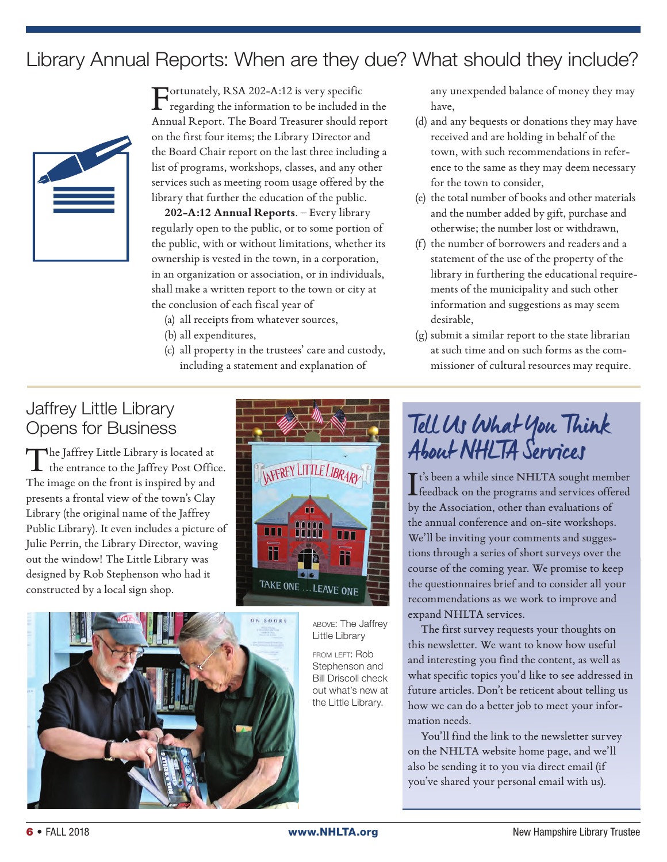## Library Annual Reports: When are they due? What should they include?



Fortunately, RSA 202-A:12 is very specific regarding the information to be included in the Annual Report. The Board Treasurer should report on the first four items; the Library Director and the Board Chair report on the last three including a list of programs, workshops, classes, and any other services such as meeting room usage offered by the library that further the education of the public.

**202-A:12 Annual Reports**. – Every library regularly open to the public, or to some portion of the public, with or without limitations, whether its ownership is vested in the town, in a corporation, in an organization or association, or in individuals, shall make a written report to the town or city at the conclusion of each fiscal year of

(a) all receipts from whatever sources,

- (b) all expenditures,
- (c) all property in the trustees' care and custody, including a statement and explanation of

any unexpended balance of money they may have,

- (d) and any bequests or donations they may have received and are holding in behalf of the town, with such recommendations in reference to the same as they may deem necessary for the town to consider,
- (e) the total number of books and other materials and the number added by gift, purchase and otherwise; the number lost or withdrawn,
- (f) the number of borrowers and readers and a statement of the use of the property of the library in furthering the educational requirements of the municipality and such other information and suggestions as may seem desirable,
- (g) submit a similar report to the state librarian at such time and on such forms as the commissioner of cultural resources may require.

#### Jaffrey Little Library Opens for Business

The Jaffrey Little Library is located at the entrance to the Jaffrey Post Office. The image on the front is inspired by and presents a frontal view of the town's Clay Library (the original name of the Jaffrey Public Library). It even includes a picture of Julie Perrin, the Library Director, waving out the window! The Little Library was designed by Rob Stephenson who had it constructed by a local sign shop.



above: The Jaffrey Little Library

from left: Rob Stephenson and Bill Driscoll check out what's new at the Little Library.

# Tell Us What You Think About NHLTA Services

It's been a while since NHLTA sought member<br>feedback on the programs and services offered **L** feedback on the programs and services offered by the Association, other than evaluations of the annual conference and on-site workshops. We'll be inviting your comments and suggestions through a series of short surveys over the course of the coming year. We promise to keep the questionnaires brief and to consider all your recommendations as we work to improve and expand NHLTA services.

The first survey requests your thoughts on this newsletter. We want to know how useful and interesting you find the content, as well as what specific topics you'd like to see addressed in future articles. Don't be reticent about telling us how we can do a better job to meet your information needs.

You'll find the link to the newsletter survey on the NHLTA website home page, and we'll also be sending it to you via direct email (if you've shared your personal email with us).

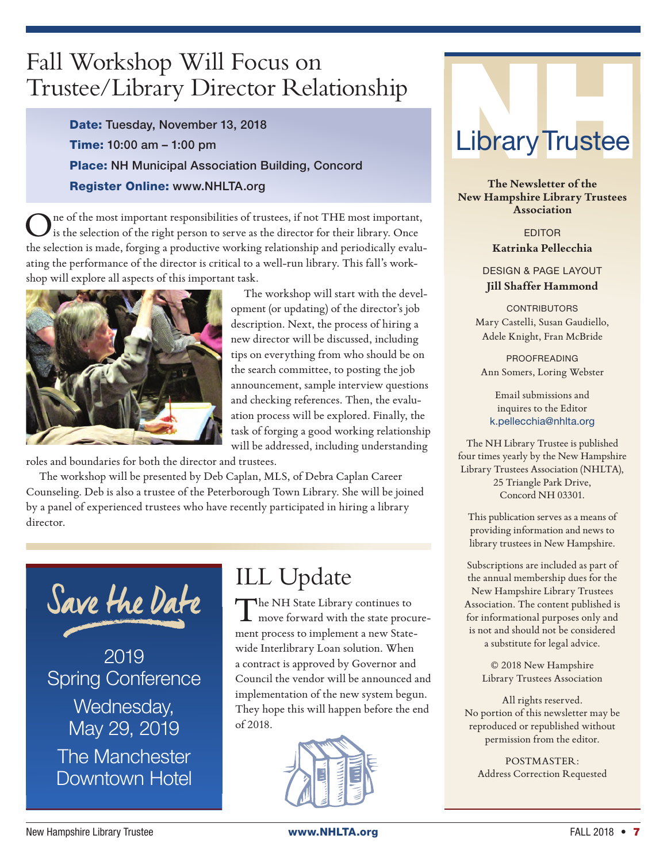## Fall Workshop Will Focus on Trustee/Library Director Relationship

Date: Tuesday, November 13, 2018 Time: 10:00 am – 1:00 pm Place: NH Municipal Association Building, Concord Register Online: www.NHLTA.org

ne of the most important responsibilities of trustees, if not THE most important, is the selection of the right person to serve as the director for their library. Once the selection is made, forging a productive working relationship and periodically evaluating the performance of the director is critical to a well-run library. This fall's workshop will explore all aspects of this important task.



The workshop will start with the development (or updating) of the director's job description. Next, the process of hiring a new director will be discussed, including tips on everything from who should be on the search committee, to posting the job announcement, sample interview questions and checking references. Then, the evaluation process will be explored. Finally, the task of forging a good working relationship will be addressed, including understanding

roles and boundaries for both the director and trustees.

The workshop will be presented by Deb Caplan, MLS, of Debra Caplan Career Counseling. Deb is also a trustee of the Peterborough Town Library. She will be joined by a panel of experienced trustees who have recently participated in hiring a library director.



## ILL Update

The NH State Library continues to<br>move forward with the state procurement process to implement a new Statewide Interlibrary Loan solution. When a contract is approved by Governor and Council the vendor will be announced and implementation of the new system begun. They hope this will happen before the end of 2018.



# LibraryTrustee

**The Newsletter of the New Hampshire Library Trustees Association**

> EDITOR **Katrinka Pellecchia**

DESIGN & PAGE LAYOUT **Jill Shaffer Hammond**

**CONTRIBUTORS** Mary Castelli, Susan Gaudiello, Adele Knight, Fran McBride

PROOFREADING Ann Somers, Loring Webster

Email submissions and inquires to the Editor k.pellecchia@nhlta.org

The NH Library Trustee is published four times yearly by the New Hampshire Library Trustees Association (NHLTA), 25 Triangle Park Drive, Concord NH 03301.

This publication serves as a means of providing information and news to library trustees in New Hampshire.

Subscriptions are included as part of the annual membership dues for the New Hampshire Library Trustees Association. The content published is for informational purposes only and is not and should not be considered a substitute for legal advice.

> © 2018 New Hampshire Library Trustees Association

All rights reserved. No portion of this newsletter may be reproduced or republished without permission from the editor.

POSTMASTER: Address Correction Requested